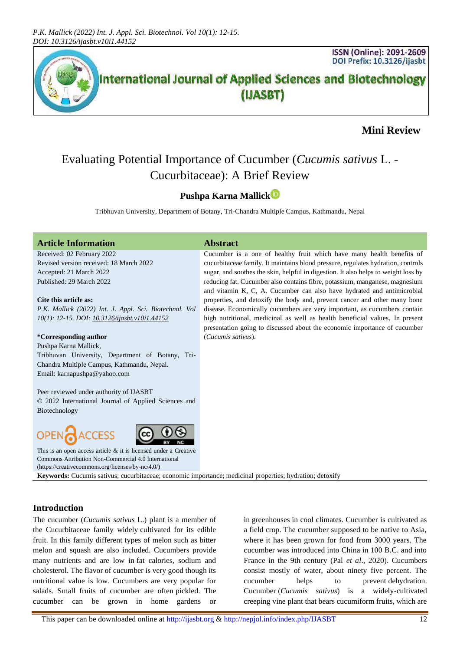

## **Mini Review**

# Evaluating Potential Importance of Cucumber (*Cucumis sativus* L. - Cucurbitaceae): A Brief Review

### **Pushpa Karna Mallick**

Tribhuvan University, Department of Botany, Tri-Chandra Multiple Campus, Kathmandu, Nepal

| <b>Article Information</b>                                                                               | <b>Abstract</b>                                                                    |  |  |
|----------------------------------------------------------------------------------------------------------|------------------------------------------------------------------------------------|--|--|
| Received: 02 February 2022                                                                               | Cucumber is a one of healthy fruit which have many health benefits of              |  |  |
| Revised version received: 18 March 2022                                                                  | cucurbitaceae family. It maintains blood pressure, regulates hydration, controls   |  |  |
| Accepted: 21 March 2022                                                                                  | sugar, and soothes the skin, helpful in digestion. It also helps to weight loss by |  |  |
| Published: 29 March 2022                                                                                 | reducing fat. Cucumber also contains fibre, potassium, manganese, magnesium        |  |  |
|                                                                                                          | and vitamin K, C, A. Cucumber can also have hydrated and antimicrobial             |  |  |
| Cite this article as:                                                                                    | properties, and detoxify the body and, prevent cancer and other many bone          |  |  |
| P.K. Mallick (2022) Int. J. Appl. Sci. Biotechnol. Vol                                                   | disease. Economically cucumbers are very important, as cucumbers contain           |  |  |
| 10(1): 12-15. DOI: 10.3126/ijasbt.v10i1.44152                                                            | high nutritional, medicinal as well as health beneficial values. In present        |  |  |
|                                                                                                          | presentation going to discussed about the economic importance of cucumber          |  |  |
| *Corresponding author                                                                                    | (Cucumis sativus).                                                                 |  |  |
| Pushpa Karna Mallick,                                                                                    |                                                                                    |  |  |
| Tribhuvan University, Department of Botany, Tri-                                                         |                                                                                    |  |  |
| Chandra Multiple Campus, Kathmandu, Nepal.                                                               |                                                                                    |  |  |
| Email: karnapushpa@yahoo.com                                                                             |                                                                                    |  |  |
|                                                                                                          |                                                                                    |  |  |
| Peer reviewed under authority of IJASBT                                                                  |                                                                                    |  |  |
| © 2022 International Journal of Applied Sciences and                                                     |                                                                                    |  |  |
| Biotechnology                                                                                            |                                                                                    |  |  |
|                                                                                                          |                                                                                    |  |  |
| OPEN <sub>C</sub> ACCESS                                                                                 |                                                                                    |  |  |
| This is an open access article $\&$ it is licensed under a Creative                                      |                                                                                    |  |  |
| Commons Attribution Non-Commercial 4.0 International                                                     |                                                                                    |  |  |
| (https://creativecommons.org/licenses/by-nc/4.0/)                                                        |                                                                                    |  |  |
| Keywords: Cucumis sativus; cucurbitaceae; economic importance; medicinal properties; hydration; detoxify |                                                                                    |  |  |
|                                                                                                          |                                                                                    |  |  |

#### **Introduction**

The cucumber (*Cucumis sativus* L.) plant is a member of the Cucurbitaceae family widely cultivated for its edible fruit. In this family different types of melon such as bitter melon and squash are also included. Cucumbers provide many nutrients and are low in fat calories, sodium and cholesterol. The flavor of cucumber is very good though its nutritional value is low. Cucumbers are very popular for salads. Small fruits of cucumber are often pickled. The cucumber can be grown in home gardens or

in greenhouses in cool climates. Cucumber is cultivated as a field crop. The cucumber supposed to be native to Asia, where it has been grown for food from 3000 years. The cucumber was introduced into China in 100 B.C. and into France in the 9th century (Pal *et al*., 2020). Cucumbers consist mostly of water, about ninety five percent. The cucumber helps to prevent dehydration. Cucumber (*Cucumis sativus*) is a widely-cultivated creeping vine plant that bears cucumiform fruits, which are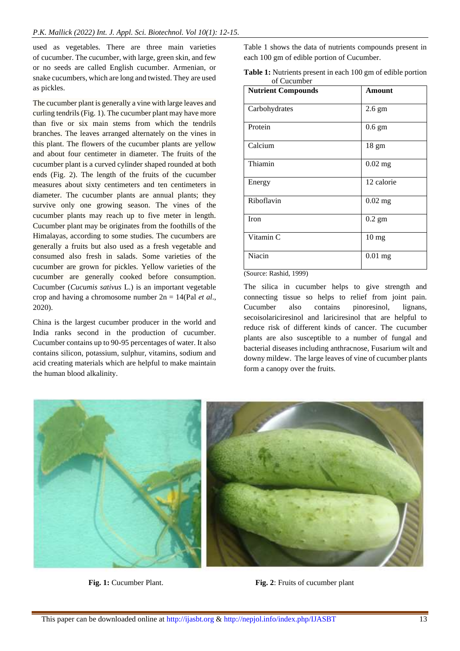used as vegetables. There are three main varieties of cucumber. The cucumber, with large, green skin, and few or no seeds are called English cucumber. Armenian, or snake cucumbers, which are long and twisted. They are used as pickles.

The cucumber plant is generally a vine with large leaves and curling tendrils (Fig. 1). The cucumber plant may have more than five or six main stems from which the tendrils branches. The leaves arranged alternately on the vines in this plant. The flowers of the cucumber plants are yellow and about four centimeter in diameter. The fruits of the cucumber plant is a curved cylinder shaped rounded at both ends (Fig. 2). The length of the fruits of the cucumber measures about sixty centimeters and ten centimeters in diameter. The cucumber plants are annual plants; they survive only one growing season. The vines of the cucumber plants may reach up to five meter in length. Cucumber plant may be originates from the foothills of the Himalayas, according to some studies. The cucumbers are generally a fruits but also used as a fresh vegetable and consumed also fresh in salads. Some varieties of the cucumber are grown for pickles. Yellow varieties of the cucumber are generally cooked before consumption. Cucumber (*Cucumis sativus* L.) is an important vegetable crop and having a chromosome number 2n = 14(Pal *et al*., 2020).

China is the largest cucumber producer in the world and India ranks second in the production of cucumber. Cucumber contains up to 90-95 percentages of water. It also contains silicon, potassium, sulphur, vitamins, sodium and acid creating materials which are helpful to make maintain the human blood alkalinity.

Table 1 shows the data of nutrients compounds present in each 100 gm of edible portion of Cucumber.

| <b>Table 1:</b> Nutrients present in each 100 gm of edible portion |  |
|--------------------------------------------------------------------|--|
| of Cucumber                                                        |  |

| <b>Nutrient Compounds</b> | Amount           |
|---------------------------|------------------|
| Carbohydrates             | $2.6$ gm         |
| Protein                   | $0.6 \text{ gm}$ |
| Calcium                   | $18 \text{ gm}$  |
| Thiamin                   | $0.02$ mg        |
| Energy                    | 12 calorie       |
| Riboflavin                | $0.02$ mg        |
| Iron                      | $0.2$ gm         |
| Vitamin C                 | 10 <sub>mg</sub> |
| Niacin                    | $0.01$ mg        |

#### (Source: Rashid, 1999)

The silica in cucumber helps to give strength and connecting tissue so helps to relief from joint pain. Cucumber also contains pinoresinol, lignans, secoisolariciresinol and lariciresinol that are helpful to reduce risk of different kinds of cancer. The cucumber plants are also susceptible to a number of fungal and bacterial [diseases](https://www.britannica.com/science/plant-disease) including [anthracnose,](https://www.britannica.com/science/anthracnose) [Fusarium wilt](https://www.britannica.com/science/fusarium-wilt) and [downy mildew.](https://www.britannica.com/science/downy-mildew) The large leaves of vine of cucumber plants form a canopy over the fruits.



**Fig. 1:** Cucumber Plant. **Fig. 2**: Fruits of cucumber plant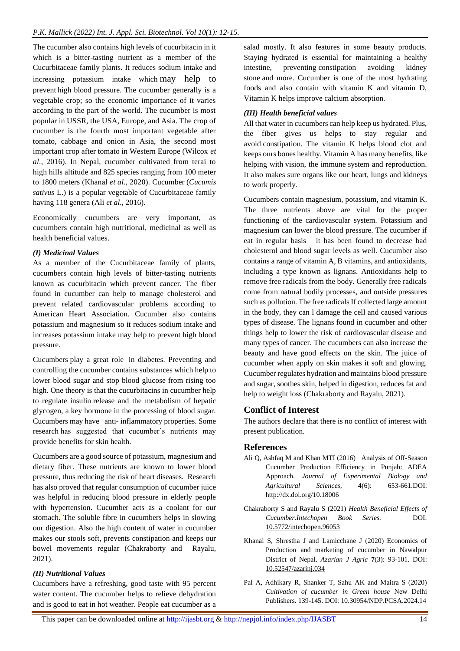The cucumber also contains high levels of cucurbitacin in it which is a bitter-tasting nutrient as a member of the Cucurbitaceae family plants. It reduces sodium intake and increasing potassium intake which may help to prevent high blood pressure. The cucumber generally is a vegetable crop; so the economic importance of it varies according to the part of the world. The cucumber is most popular in USSR, the USA, Europe, and Asia. The crop of cucumber is the fourth most important vegetable after tomato, cabbage and onion in Asia, the second most important crop after tomato in Western Europe (Wilcox *et al*., 2016). In Nepal, cucumber cultivated from terai to high hills altitude and 825 species ranging from 100 meter to 1800 meters (Khanal *et al*., 2020). Cucumber (*Cucumis sativus* L.) is a popular vegetable of Cucurbitaceae family having 118 genera (Ali *et al*., 2016).

Economically cucumbers are very important, as cucumbers contain high nutritional, medicinal as well as health beneficial values.

#### *(I) Medicinal Values*

As a member of the Cucurbitaceae family of plants, cucumbers contain high levels of bitter-tasting nutrients known as cucurbitacin which prevent cancer. The fiber found in cucumber can help to manage cholesterol and prevent related cardiovascular problems according to American Heart Association. Cucumber also contains potassium and magnesium so it reduces sodium intake and increases potassium intake may help to prevent high blood pressure.

Cucumbers [play a great role](https://www.ncbi.nlm.nih.gov/pmc/articles/PMC4441156/) in diabetes. Preventing and controlling the cucumber contains substances which help to lower blood sugar and stop blood glucose from rising too high. One theory is that the cucurbitacins in cucumber help to regulate insulin release and the metabolism of hepatic glycogen, a key hormone in the processing of blood sugar. Cucumbers may have anti- inflammatory properties. Some research has suggested that cucumber's nutrients may provide benefits for skin health.

Cucumbers are a good source of potassium, magnesium and dietary fiber. These nutrients are known to lower blood pressure, thus reducing the risk of heart diseases. Research has also proved that regular consumption of cucumber juice was helpful in reducing blood pressure in elderly people with hypertension. Cucumber acts as a coolant for our stomach. The soluble fibre in cucumbers helps in slowing our digestion. Also the high content of water in cucumber makes our stools soft, prevents constipation and keeps our bowel movements regular (Chakraborty and Rayalu, 2021).

#### *(II) Nutritional Values*

Cucumbers have a refreshing, good taste with 95 percent water content. The cucumber helps to relieve dehydration and is good to eat in hot weather. People eat cucumber as a

salad mostly. It also features in some beauty products. Staying hydrated is essential for maintaining a healthy intestine, preventing constipation avoiding kidney stone and more. Cucumber is one of the most hydrating foods and also contain with vitamin K and vitamin D, Vitamin K helps improve calcium absorption.

#### *(III) Health beneficial values*

All that water in cucumbers can help keep us hydrated. Plus, the fiber gives us helps to stay regular and avoid constipation. The vitamin K helps blood clot and keeps ours bones healthy. Vitamin A has many benefits, like helping with vision, the immune system and reproduction. It also makes sure organs like our heart, lungs and kidneys to work properly.

Cucumbers contain magnesium, potassium, and vitamin K. The three nutrients above are vital for the proper functioning of the cardiovascular system. Potassium and magnesium can lower the blood pressure. The cucumber if eat in regular basis it has been found to decrease bad cholesterol and blood sugar levels as well. Cucumber also contains a range of vitamin A, B vitamins, and antioxidants, including a type known as lignans. Antioxidants help to remove free radicals from the body. Generally free radicals come from natural bodily processes, and outside pressures such as pollution. The free radicals If collected large amount in the body, they can l damage the cell and caused various types of disease. The lignans found in cucumber and other things help to lower the risk of cardiovascular disease and many types of cancer. The cucumbers can also increase the beauty and have good effects on the skin. The juice of cucumber when apply on skin makes it soft and glowing. Cucumber regulates hydration and maintains blood pressure and sugar, soothes skin, helped in digestion, reduces fat and help to weight loss (Chakraborty and Rayalu, 2021).

#### **Conflict of Interest**

The authors declare that there is no conflict of interest with present publication.

#### **References**

- Ali Q, Ashfaq M and Khan MTI (2016) Analysis of Off-Season Cucumber Production Efficiency in Punjab: ADEA Approach. *Journal of Experimental Biology and Agricultural Sciences,* **4**(6): 653-661.DOI: <http://dx.doi.org/10.18006>
- Chakraborty S and Rayalu S (2021) *Health Beneficial Effects of Cucumber*.*Intechopen Book Series.* DOI: [10.5772/intechopen.96053](https://doi.org/10.5772/intechopen.96053)
- Khanal S, Shrestha J and Lamicchane J (2020) Economics of Production and marketing of cucumber in Nawalpur District of Nepal. *Azarian J Agric* **7**(3): 93-101. DOI: [10.52547/azarinj.034](https://doi.org/10.52547/azarinj.034)
- Pal A, Adhikary R, Shanker T, Sahu AK and Maitra S (2020) *Cultivation of cucumber in Green house* New Delhi Publishers. 139-145. DOI[: 10.30954/NDP.PCSA.2024.14](https://doi.org/10.30954/NDP.PCSA.2024.14)